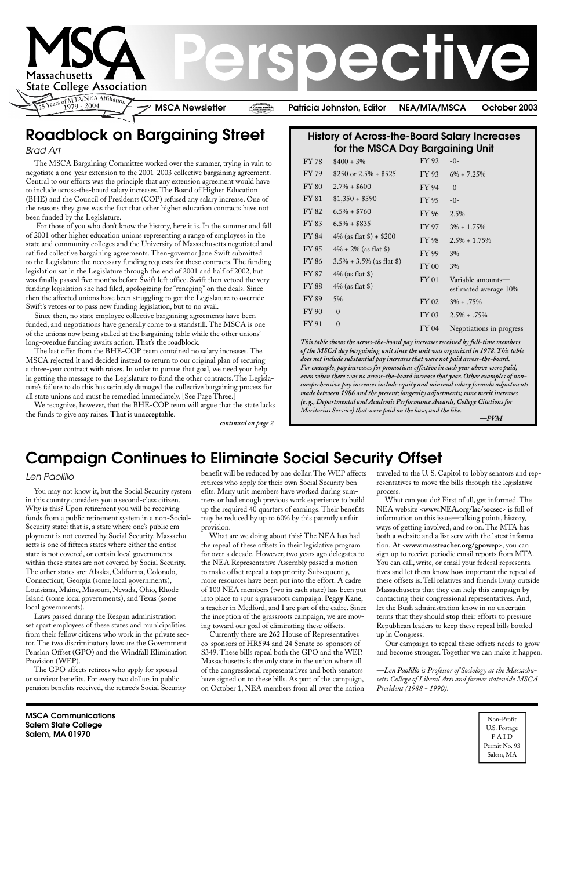

**MSCA Communications Salem State College Salem, MA 01970**

Non-Profit U.S. Postage P A I D Permit No. 93 Salem, MA

#### Brad Art

You may not know it, but the Social Security system in this country considers you a second-class citizen. Why is this? Upon retirement you will be receiving funds from a public retirement system in a non-Social-Security state: that is, a state where one's public employment is not covered by Social Security. Massachusetts is one of fifteen states where either the entire state is not covered, or certain local governments within these states are not covered by Social Security. The other states are: Alaska, California, Colorado, Connecticut, Georgia (some local governments), Louisiana, Maine, Missouri, Nevada, Ohio, Rhode Island (some local governments), and Texas (some local governments).

Laws passed during the Reagan administration set apart employees of these states and municipalities from their fellow citizens who work in the private sector. The two discriminatory laws are the Government Pension Offset (GPO) and the Windfall Elimination Provision (WEP).

The GPO affects retirees who apply for spousal or survivor benefits. For every two dollars in public pension benefits received, the retiree's Social Security

### **Campaign Continues to Eliminate Social Security Offset**

## **Roadblock on Bargaining Street**

#### Len Paolillo

The MSCA Bargaining Committee worked over the summer, trying in vain to negotiate a one-year extension to the 2001-2003 collective bargaining agreement. Central to our efforts was the principle that any extension agreement would have to include across-the-board salary increases. The Board of Higher Education (BHE) and the Council of Presidents (COP) refused any salary increase. One of the reasons they gave was the fact that other higher education contracts have not been funded by the Legislature.

 For those of you who don't know the history, here it is. In the summer and fall of 2001 other higher education unions representing a range of employees in the state and community colleges and the University of Massachusetts negotiated and ratified collective bargaining agreements. Then-governor Jane Swift submitted to the Legislature the necessary funding requests for these contracts. The funding legislation sat in the Legislature through the end of 2001 and half of 2002, but was finally passed five months before Swift left office. Swift then vetoed the very funding legislation she had filed, apologizing for "reneging" on the deals. Since then the affected unions have been struggling to get the Legislature to override Swift's vetoes or to pass new funding legislation, but to no avail.

Since then, no state employee collective bargaining agreements have been funded, and negotiations have generally come to a standstill. The MSCA is one of the unions now being stalled at the bargaining table while the other unions' long-overdue funding awaits action. That's the roadblock.

The last offer from the BHE-COP team contained no salary increases. The MSCA rejected it and decided instead to return to our original plan of securing a three-year contract **with raises**. In order to pursue that goal, we need your help in getting the message to the Legislature to fund the other contracts. The Legislature's failure to do this has seriously damaged the collective bargaining process for all state unions and must be remedied immediately. [See Page Three.]

We recognize, however, that the BHE-COP team will argue that the state lacks the funds to give any raises. **That is unacceptable**.

> benefit will be reduced by one dollar. The WEP affects retirees who apply for their own Social Security benefits. Many unit members have worked during summers or had enough previous work experience to build up the required 40 quarters of earnings. Their benefits may be reduced by up to 60% by this patently unfair provision.

> What are we doing about this? The NEA has had the repeal of these offsets in their legislative program for over a decade. However, two years ago delegates to the NEA Representative Assembly passed a motion to make offset repeal a top priority. Subsequently, more resources have been put into the effort. A cadre of 100 NEA members (two in each state) has been put into place to spur a grassroots campaign. **Peggy Kane**, a teacher in Medford, and I are part of the cadre. Since the inception of the grassroots campaign, we are moving toward our goal of eliminating these offsets.

Currently there are 262 House of Representatives

co-sponsors of HR594 and 24 Senate co-sponsors of S349. These bills repeal both the GPO and the WEP. Massachusetts is the only state in the union where all of the congressional representatives and both senators have signed on to these bills. As part of the campaign, on October 1, NEA members from all over the nation traveled to the U. S. Capitol to lobby senators and representatives to move the bills through the legislative process.

What can you do? First of all, get informed. The NEA website <**www.NEA.org/lac/socsec**> is full of information on this issue—talking points, history, ways of getting involved, and so on. The MTA has both a website and a list serv with the latest information. At <**www.massteacher.org/gpowep**>, you can sign up to receive periodic email reports from MTA. You can call, write, or email your federal representatives and let them know how important the repeal of these offsets is. Tell relatives and friends living outside Massachusetts that they can help this campaign by contacting their congressional representatives. And, let the Bush administration know in no uncertain terms that they should **stop** their efforts to pressure Republican leaders to keep these repeal bills bottled up in Congress.

Our campaign to repeal these offsets needs to grow and become stronger. Together we can make it happen.

*—Len Paolillo is Professor of Sociology at the Massachusetts College of Liberal Arts and former statewide MSCA President (1988 - 1990).*

#### **History of Across-the-Board Salary Increases for the MSCA Day Bargaining Unit**

| $6\% + 7.25\%$                             |
|--------------------------------------------|
|                                            |
|                                            |
| 2.5%                                       |
| $3\% + 1.75\%$                             |
| $2.5\% + 1.75\%$                           |
|                                            |
|                                            |
|                                            |
| Variable amounts-<br>estimated average 10% |
| $3\% + .75\%$                              |
| $2.5\% + .75\%$                            |
| Negotiations in progress                   |
|                                            |

*continued on page 2*

*This table shows the across-the-board pay increases received by full-time members of the MSCA day bargaining unit since the unit was organized in 1978. This table does not include substantial pay increases that were not paid across-the-board. For example, pay increases for promotions effective in each year above were paid, even when there was no across-the-board increase that year. Other examples of noncomprehensive pay increases include equity and minimal salary formula adjustments made between 1986 and the present; longevity adjustments; some merit increases (e. g., Departmental and Academic Performance Awards, College Citations for Meritorius Service) that were paid on the base; and the like.*

*—PVM*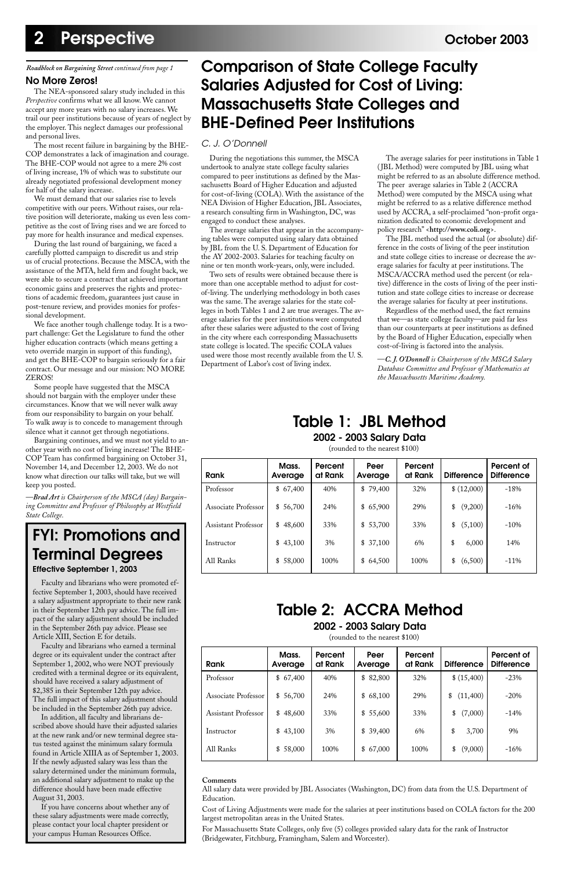## **Table 1: JBL Method**

**2002 - 2003 Salary Data**

(rounded to the nearest \$100)

| Rank                       | Mass.<br>Average | Percent<br>at Rank | Peer<br>Average | Percent<br>at Rank | <b>Difference</b> | Percent of<br><b>Difference</b> |
|----------------------------|------------------|--------------------|-----------------|--------------------|-------------------|---------------------------------|
| Professor                  | \$67,400         | 40%                | \$79,400        | 32%                | \$(12,000)        | $-18%$                          |
| Associate Professor        | 56,700<br>\$     | 24%                | \$65,900        | 29%                | (9,200)<br>\$     | $-16%$                          |
| <b>Assistant Professor</b> | 48,600<br>\$     | 33%                | \$53,700        | 33%                | (5,100)<br>\$     | $-10%$                          |
| Instructor                 | 43,100<br>\$     | 3%                 | \$37,100        | 6%                 | 6,000<br>\$       | 14%                             |
| All Ranks                  | 58,000<br>\$     | 100\%              | \$64,500        | 100\%              | (6,500)<br>\$     | $-11%$                          |

**Table 2: ACCRA Method**

**2002 - 2003 Salary Data** (rounded to the nearest \$100)

| <b>Rank</b>                | Mass.<br>Average | Percent<br>at Rank | Peer<br>Average | Percent<br>at Rank | <b>Difference</b> | Percent of<br><b>Difference</b> |
|----------------------------|------------------|--------------------|-----------------|--------------------|-------------------|---------------------------------|
| Professor                  | 67,400<br>\$     | 40%                | 82,800<br>\$    | 32%                | \$ (15,400)       | $-23%$                          |
| Associate Professor        | \$56,700         | 24%                | \$68,100        | 29%                | (11,400)<br>\$    | $-20%$                          |
| <b>Assistant Professor</b> | \$48,600         | 33%                | \$55,600        | 33%                | (7,000)<br>\$     | $-14%$                          |
| Instructor                 | \$43,100         | 3%                 | \$39,400        | 6%                 | \$<br>3,700       | 9%                              |
| All Ranks                  | 58,000<br>\$     | 100%               | \$67,000        | 100%               | (9,000)<br>\$     | $-16%$                          |

#### **Comments**

All salary data were provided by JBL Associates (Washington, DC) from data from the U.S. Department of Education.

Cost of Living Adjustments were made for the salaries at peer institutions based on COLA factors for the 200 largest metropolitan areas in the United States.

For Massachusetts State Colleges, only five (5) colleges provided salary data for the rank of Instructor (Bridgewater, Fitchburg, Framingham, Salem and Worcester).

#### **No More Zeros!**

The NEA-sponsored salary study included in this *Perspective* confirms what we all know. We cannot accept any more years with no salary increases. We trail our peer institutions because of years of neglect by the employer. This neglect damages our professional and personal lives.

The most recent failure in bargaining by the BHE-COP demonstrates a lack of imagination and courage. The BHE-COP would not agree to a mere 2% cost of living increase, 1% of which was to substitute our already negotiated professional development money for half of the salary increase.

We must demand that our salaries rise to levels competitive with our peers. Without raises, our relative position will deteriorate, making us even less competitive as the cost of living rises and we are forced to pay more for health insurance and medical expenses.

During the last round of bargaining, we faced a carefully plotted campaign to discredit us and strip us of crucial protections. Because the MSCA, with the assistance of the MTA, held firm and fought back, we were able to secure a contract that achieved important economic gains and preserves the rights and protections of academic freedom, guarantees just cause in post-tenure review, and provides monies for professional development.

We face another tough challenge today. It is a twopart challenge: Get the Legislature to fund the other higher education contracts (which means getting a veto override margin in support of this funding), and get the BHE-COP to bargain seriously for a fair contract. Our message and our mission: NO MORE ZEROS!

Some people have suggested that the MSCA should not bargain with the employer under these circumstances. Know that we will never walk away from our responsibility to bargain on your behalf. To walk away is to concede to management through silence what it cannot get through negotiations.

Bargaining continues, and we must not yield to another year with no cost of living increase! The BHE-COP Team has confirmed bargaining on October 31, November 14, and December 12, 2003. We do not know what direction our talks will take, but we will keep you posted.

*—Brad Art is Chairperson of the MSCA (day) Bargaining Committee and Professor of Philosophy at Westfield State College.*

#### *Roadblock on Bargaining Street continued from page 1*

#### C. J. O'Donnell

During the negotiations this summer, the MSCA undertook to analyze state college faculty salaries compared to peer institutions as defined by the Massachusetts Board of Higher Education and adjusted for cost-of-living (COLA). With the assistance of the NEA Division of Higher Education, JBL Associates, a research consulting firm in Washington, DC, was engaged to conduct these analyses.

The average salaries that appear in the accompanying tables were computed using salary data obtained by JBL from the U. S. Department of Education for the AY 2002-2003. Salaries for teaching faculty on nine or ten month work-years, only, were included.

Two sets of results were obtained because there is more than one acceptable method to adjust for costof-living. The underlying methodology in both cases was the same. The average salaries for the state colleges in both Tables 1 and 2 are true averages. The average salaries for the peer institutions were computed after these salaries were adjusted to the cost of living in the city where each corresponding Massachusetts state college is located. The specific COLA values used were those most recently available from the U. S. Department of Labor's cost of living index.

The average salaries for peer institutions in Table 1 (JBL Method) were computed by JBL using what might be referred to as an absolute difference method. The peer average salaries in Table 2 (ACCRA Method) were computed by the MSCA using what might be referred to as a relative difference method used by ACCRA, a self-proclaimed "non-profit organization dedicated to economic development and policy research" <**http://www.coli.org**>.

The JBL method used the actual (or absolute) difference in the costs of living of the peer institution and state college cities to increase or decrease the average salaries for faculty at peer institutions. The MSCA/ACCRA method used the percent (or relative) difference in the costs of living of the peer institution and state college cities to increase or decrease the average salaries for faculty at peer institutions.

Regardless of the method used, the fact remains that we—as state college faculty—are paid far less than our counterparts at peer institutions as defined by the Board of Higher Education, especially when cost-of-living is factored into the analysis.

—*C. J. O'Donnell is Chairperson of the MSCA Salary Database Committee and Professor of Mathematics at the Massachusetts Maritime Academy.*

## **Comparison of State College Faculty Salaries Adjusted for Cost of Living: Massachusetts State Colleges and BHE-Defined Peer Institutions**

## **FYI: Promotions and Terminal Degrees**

**Effective September 1, 2003**

Faculty and librarians who were promoted effective September 1, 2003, should have received a salary adjustment appropriate to their new rank in their September 12th pay advice. The full impact of the salary adjustment should be included in the September 26th pay advice. Please see Article XIII, Section E for details.

Faculty and librarians who earned a terminal degree or its equivalent under the contract after September 1, 2002, who were NOT previously credited with a terminal degree or its equivalent, should have received a salary adjustment of \$2,385 in their September 12th pay advice. The full impact of this salary adjustment should be included in the September 26th pay advice.

In addition, all faculty and librarians described above should have their adjusted salaries at the new rank and/or new terminal degree status tested against the minimum salary formula found in Article XIIIA as of September 1, 2003. If the newly adjusted salary was less than the salary determined under the minimum formula, an additional salary adjustment to make up the difference should have been made effective August 31, 2003.

If you have concerns about whether any of these salary adjustments were made correctly, please contact your local chapter president or your campus Human Resources Office.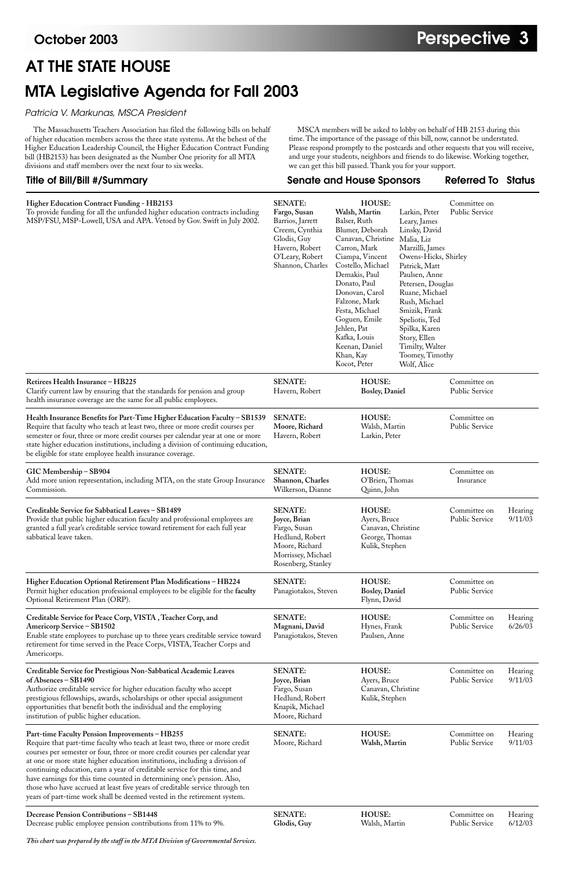### **Title of Bill/Bill #/Summary Senate and House Sponsors Referred To Status**

# **AT THE STATE HOUSE MTA Legislative Agenda for Fall 2003**

| Higher Education Contract Funding - HB2153<br>To provide funding for all the unfunded higher education contracts including<br>MSP/FSU, MSP-Lowell, USA and APA. Vetoed by Gov. Swift in July 2002.                                                                                                                                                                                               | <b>SENATE:</b><br>Fargo, Susan<br>Barrios, Jarrett<br>Creem, Cynthia<br>Glodis, Guy<br>Havern, Robert<br>O'Leary, Robert<br>Shannon, Charles | <b>HOUSE:</b><br>Walsh, Martin<br>Balser, Ruth<br>Blumer, Deborah<br>Canavan, Christine Malia, Liz<br>Carron, Mark<br>Ciampa, Vincent<br>Costello, Michael<br>Demakis, Paul<br>Donato, Paul<br>Donovan, Carol<br>Falzone, Mark<br>Festa, Michael<br>Goguen, Emile<br>Jehlen, Pat<br>Kafka, Louis<br>Keenan, Daniel<br>Khan, Kay<br>Kocot, Peter | Larkin, Peter<br>Leary, James<br>Linsky, David<br>Marzilli, James<br>Owens-Hicks, Shirley<br>Patrick, Matt<br>Paulsen, Anne<br>Petersen, Douglas<br>Ruane, Michael<br>Rush, Michael<br>Smizik, Frank<br>Speliotis, Ted<br>Spilka, Karen<br>Story, Ellen<br>Timilty, Walter<br>Toomey, Timothy<br>Wolf, Alice | Committee on<br><b>Public Service</b> |                    |
|--------------------------------------------------------------------------------------------------------------------------------------------------------------------------------------------------------------------------------------------------------------------------------------------------------------------------------------------------------------------------------------------------|----------------------------------------------------------------------------------------------------------------------------------------------|-------------------------------------------------------------------------------------------------------------------------------------------------------------------------------------------------------------------------------------------------------------------------------------------------------------------------------------------------|--------------------------------------------------------------------------------------------------------------------------------------------------------------------------------------------------------------------------------------------------------------------------------------------------------------|---------------------------------------|--------------------|
| Retirees Health Insurance - HB225<br>Clarify current law by ensuring that the standards for pension and group<br>health insurance coverage are the same for all public employees.                                                                                                                                                                                                                | <b>SENATE:</b><br>Havern, Robert                                                                                                             | <b>HOUSE:</b><br><b>Bosley</b> , Daniel                                                                                                                                                                                                                                                                                                         |                                                                                                                                                                                                                                                                                                              | Committee on<br><b>Public Service</b> |                    |
| Health Insurance Benefits for Part-Time Higher Education Faculty - SB1539<br>Require that faculty who teach at least two, three or more credit courses per<br>semester or four, three or more credit courses per calendar year at one or more<br>state higher education institutions, including a division of continuing education,<br>be eligible for state employee health insurance coverage. | <b>SENATE:</b><br>Moore, Richard<br>Havern, Robert                                                                                           | <b>HOUSE:</b><br>Walsh, Martin<br>Larkin, Peter                                                                                                                                                                                                                                                                                                 |                                                                                                                                                                                                                                                                                                              | Committee on<br>Public Service        |                    |
| GIC Membership - SB904<br>Add more union representation, including MTA, on the state Group Insurance<br>Commission.                                                                                                                                                                                                                                                                              | <b>SENATE:</b><br>Shannon, Charles<br>Wilkerson, Dianne                                                                                      | <b>HOUSE:</b><br>O'Brien, Thomas<br>Quinn, John                                                                                                                                                                                                                                                                                                 |                                                                                                                                                                                                                                                                                                              | Committee on<br>Insurance             |                    |
| Creditable Service for Sabbatical Leaves – SB1489<br>Provide that public higher education faculty and professional employees are<br>granted a full year's creditable service toward retirement for each full year<br>sabbatical leave taken.                                                                                                                                                     | <b>SENATE:</b><br>Joyce, Brian<br>Fargo, Susan<br>Hedlund, Robert<br>Moore, Richard<br>Morrissey, Michael<br>Rosenberg, Stanley              | <b>HOUSE:</b><br>Ayers, Bruce<br>Canavan, Christine<br>George, Thomas<br>Kulik, Stephen                                                                                                                                                                                                                                                         |                                                                                                                                                                                                                                                                                                              | Committee on<br>Public Service        | Hearing<br>9/11/03 |
| Higher Education Optional Retirement Plan Modifications - HB224<br>Permit higher education professional employees to be eligible for the faculty<br>Optional Retirement Plan (ORP).                                                                                                                                                                                                              | <b>SENATE:</b><br>Panagiotakos, Steven                                                                                                       | <b>HOUSE:</b><br><b>Bosley, Daniel</b><br>Flynn, David                                                                                                                                                                                                                                                                                          |                                                                                                                                                                                                                                                                                                              | Committee on<br><b>Public Service</b> |                    |
| Creditable Service for Peace Corp, VISTA, Teacher Corp, and<br>Americorp Service - SB1502<br>Enable state employees to purchase up to three years creditable service toward                                                                                                                                                                                                                      | <b>SENATE:</b><br>Magnani, David<br>Panagiotakos, Steven                                                                                     | HOUSE:<br>Hynes, Frank<br>Paulsen, Anne                                                                                                                                                                                                                                                                                                         |                                                                                                                                                                                                                                                                                                              | Committee on<br>Public Service        | Hearing<br>6/26/03 |

retirement for time served in the Peace Corps, VISTA, Teacher Corps and Americorps.

| Creditable Service for Prestigious Non-Sabbatical Academic Leaves<br>of Absences $-$ SB1490<br>Authorize creditable service for higher education faculty who accept<br>prestigious fellowships, awards, scholarships or other special assignment<br>opportunities that benefit both the individual and the employing<br>institution of public higher education.                                                                                                                                                                                                                                                   | <b>SENATE:</b><br>Joyce, Brian<br>Fargo, Susan<br>Hedlund, Robert<br>Knapik, Michael<br>Moore, Richard | <b>HOUSE:</b><br>Ayers, Bruce<br>Canavan, Christine<br>Kulik, Stephen | Committee on<br><b>Public Service</b> | Hearing<br>9/11/03 |
|-------------------------------------------------------------------------------------------------------------------------------------------------------------------------------------------------------------------------------------------------------------------------------------------------------------------------------------------------------------------------------------------------------------------------------------------------------------------------------------------------------------------------------------------------------------------------------------------------------------------|--------------------------------------------------------------------------------------------------------|-----------------------------------------------------------------------|---------------------------------------|--------------------|
| Part-time Faculty Pension Improvements - HB255<br>Require that part-time faculty who teach at least two, three or more credit<br>courses per semester or four, three or more credit courses per calendar year<br>at one or more state higher education institutions, including a division of<br>continuing education, earn a year of creditable service for this time, and<br>have earnings for this time counted in determining one's pension. Also,<br>those who have accrued at least five years of creditable service through ten<br>years of part-time work shall be deemed vested in the retirement system. | <b>SENATE:</b><br>Moore, Richard                                                                       | HOUSE:<br>Walsh, Martin                                               | Committee on<br><b>Public Service</b> | Hearing<br>9/11/03 |
| Decrease Pension Contributions – SB1448<br>Decrease public employee pension contributions from 11% to 9%.                                                                                                                                                                                                                                                                                                                                                                                                                                                                                                         | <b>SENATE:</b><br>Glodis, Guy                                                                          | HOUSE:<br>Walsh, Martin                                               | Committee on<br><b>Public Service</b> | Hearing<br>6/12/03 |

*This chart was prepared by the staff in the MTA Division of Governmental Services.*

Patricia V. Markunas, MSCA President

The Massachusetts Teachers Association has filed the following bills on behalf of higher education members across the three state systems. At the behest of the Higher Education Leadership Council, the Higher Education Contract Funding bill (HB2153) has been designated as the Number One priority for all MTA divisions and staff members over the next four to six weeks.

#### MSCA members will be asked to lobby on behalf of HB 2153 during this time. The importance of the passage of this bill, now, cannot be understated. Please respond promptly to the postcards and other requests that you will receive, and urge your students, neighbors and friends to do likewise. Working together, we can get this bill passed. Thank you for your support.